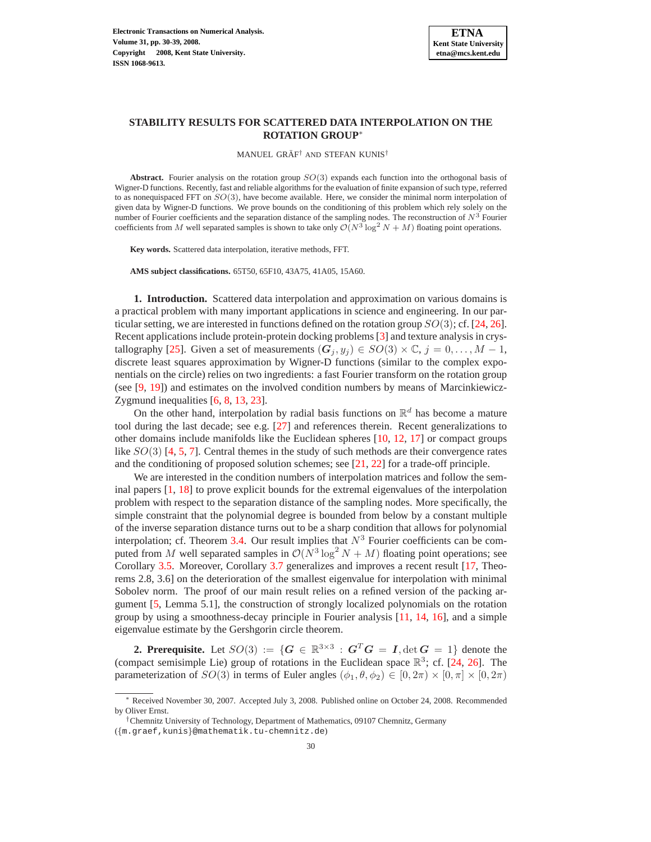

MANUEL GRÄF<sup>†</sup> AND STEFAN KUNIS<sup>†</sup>

**Abstract.** Fourier analysis on the rotation group SO(3) expands each function into the orthogonal basis of Wigner-D functions. Recently, fast and reliable algorithms for the evaluation of finite expansion of such type, referred to as nonequispaced FFT on  $SO(3)$ , have become available. Here, we consider the minimal norm interpolation of given data by Wigner-D functions. We prove bounds on the conditioning of this problem which rely solely on the number of Fourier coefficients and the separation distance of the sampling nodes. The reconstruction of  $N<sup>3</sup>$  Fourier coefficients from M well separated samples is shown to take only  $\mathcal{O}(N^3 \log^2 N + M)$  floating point operations.

**Key words.** Scattered data interpolation, iterative methods, FFT.

**AMS subject classifications.** 65T50, 65F10, 43A75, 41A05, 15A60.

**1. Introduction.** Scattered data interpolation and approximation on various domains is a practical problem with many important applications in science and engineering. In our particular setting, we are interested in functions defined on the rotation group  $SO(3)$ ; cf. [\[24,](#page-9-0) [26\]](#page-9-1). Recent applications include protein-protein docking problems [\[3\]](#page-8-0) and texture analysis in crys-tallography [\[25\]](#page-9-2). Given a set of measurements  $(G_i, y_j) \in SO(3) \times \mathbb{C}, j = 0, \ldots, M - 1$ , discrete least squares approximation by Wigner-D functions (similar to the complex exponentials on the circle) relies on two ingredients: a fast Fourier transform on the rotation group (see [\[9,](#page-8-1) [19\]](#page-9-3)) and estimates on the involved condition numbers by means of Marcinkiewicz-Zygmund inequalities [\[6,](#page-8-2) [8,](#page-8-3) [13,](#page-8-4) [23\]](#page-9-4).

On the other hand, interpolation by radial basis functions on  $\mathbb{R}^d$  has become a mature tool during the last decade; see e.g. [\[27\]](#page-9-5) and references therein. Recent generalizations to other domains include manifolds like the Euclidean spheres [\[10,](#page-8-5) [12,](#page-8-6) [17\]](#page-9-6) or compact groups like  $SO(3)$  [\[4,](#page-8-7) [5,](#page-8-8) [7\]](#page-8-9). Central themes in the study of such methods are their convergence rates and the conditioning of proposed solution schemes; see [\[21,](#page-9-7) [22\]](#page-9-8) for a trade-off principle.

We are interested in the condition numbers of interpolation matrices and follow the seminal papers [\[1,](#page-8-10) [18\]](#page-9-9) to prove explicit bounds for the extremal eigenvalues of the interpolation problem with respect to the separation distance of the sampling nodes. More specifically, the simple constraint that the polynomial degree is bounded from below by a constant multiple of the inverse separation distance turns out to be a sharp condition that allows for polynomial interpolation; cf. Theorem [3.4.](#page-5-0) Our result implies that  $N<sup>3</sup>$  Fourier coefficients can be computed from M well separated samples in  $\mathcal{O}(N^3 \log^2 N + M)$  floating point operations; see Corollary [3.5.](#page-6-0) Moreover, Corollary [3.7](#page-6-1) generalizes and improves a recent result [\[17,](#page-9-6) Theorems 2.8, 3.6] on the deterioration of the smallest eigenvalue for interpolation with minimal Sobolev norm. The proof of our main result relies on a refined version of the packing argument [\[5,](#page-8-8) Lemma 5.1], the construction of strongly localized polynomials on the rotation group by using a smoothness-decay principle in Fourier analysis [\[11,](#page-8-11) [14,](#page-9-10) [16\]](#page-9-11), and a simple eigenvalue estimate by the Gershgorin circle theorem.

**2. Prerequisite.** Let  $SO(3) := \{G \in \mathbb{R}^{3 \times 3} : G^T G = I, \det G = 1\}$  denote the (compact semisimple Lie) group of rotations in the Euclidean space  $\mathbb{R}^3$ ; cf. [\[24,](#page-9-0) [26\]](#page-9-1). The parameterization of  $SO(3)$  in terms of Euler angles  $(\phi_1, \theta, \phi_2) \in [0, 2\pi) \times [0, \pi] \times [0, 2\pi)$ 

<sup>∗</sup> Received November 30, 2007. Accepted July 3, 2008. Published online on October 24, 2008. Recommended by Oliver Ernst.

<sup>†</sup>Chemnitz University of Technology, Department of Mathematics, 09107 Chemnitz, Germany

<sup>(</sup>{m.graef,kunis}@mathematik.tu-chemnitz.de)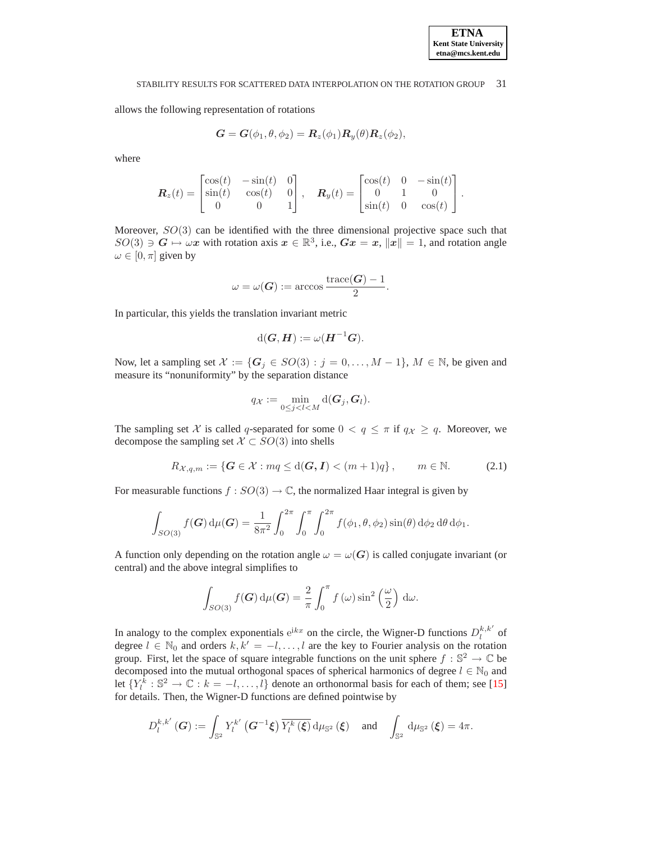allows the following representation of rotations

$$
G = G(\phi_1, \theta, \phi_2) = R_z(\phi_1) R_y(\theta) R_z(\phi_2),
$$

where

$$
\boldsymbol{R}_z(t) = \begin{bmatrix} \cos(t) & -\sin(t) & 0 \\ \sin(t) & \cos(t) & 0 \\ 0 & 0 & 1 \end{bmatrix}, \quad \boldsymbol{R}_y(t) = \begin{bmatrix} \cos(t) & 0 & -\sin(t) \\ 0 & 1 & 0 \\ \sin(t) & 0 & \cos(t) \end{bmatrix}.
$$

Moreover,  $SO(3)$  can be identified with the three dimensional projective space such that  $SO(3) \ni G \mapsto \omega x$  with rotation axis  $x \in \mathbb{R}^3$ , i.e.,  $Gx = x$ ,  $||x|| = 1$ , and rotation angle  $\omega \in [0, \pi]$  given by

$$
\omega = \omega(\boldsymbol{G}) := \arccos \frac{\text{trace}(\boldsymbol{G}) - 1}{2}.
$$

In particular, this yields the translation invariant metric

$$
\mathrm{d}(G,H):=\omega(H^{-1}G).
$$

Now, let a sampling set  $\mathcal{X} := \{G_j \in SO(3) : j = 0, \ldots, M - 1\}$ ,  $M \in \mathbb{N}$ , be given and measure its "nonuniformity" by the separation distance

$$
q_{\mathcal{X}} := \min_{0 \leq j < l < M} \mathrm{d}(G_j, G_l).
$$

<span id="page-1-0"></span>The sampling set X is called q-separated for some  $0 < q \leq \pi$  if  $q_X \geq q$ . Moreover, we decompose the sampling set  $X \subset SO(3)$  into shells

$$
R_{\mathcal{X},q,m} := \{ \mathbf{G} \in \mathcal{X} : mq \leq d(\mathbf{G}, \mathbf{I}) < (m+1)q \}, \qquad m \in \mathbb{N}.\tag{2.1}
$$

For measurable functions  $f : SO(3) \to \mathbb{C}$ , the normalized Haar integral is given by

$$
\int_{SO(3)} f(G) d\mu(G) = \frac{1}{8\pi^2} \int_0^{2\pi} \int_0^{\pi} \int_0^{2\pi} f(\phi_1, \theta, \phi_2) \sin(\theta) d\phi_2 d\theta d\phi_1.
$$

A function only depending on the rotation angle  $\omega = \omega(G)$  is called conjugate invariant (or central) and the above integral simplifies to

$$
\int_{SO(3)} f(G) d\mu(G) = \frac{2}{\pi} \int_0^{\pi} f(\omega) \sin^2\left(\frac{\omega}{2}\right) d\omega.
$$

In analogy to the complex exponentials  $e^{ikx}$  on the circle, the Wigner-D functions  $D_l^{k,k'}$  of degree  $l \in \mathbb{N}_0$  and orders  $k, k' = -l, \ldots, l$  are the key to Fourier analysis on the rotation group. First, let the space of square integrable functions on the unit sphere  $f : \mathbb{S}^2 \to \mathbb{C}$  be decomposed into the mutual orthogonal spaces of spherical harmonics of degree  $l \in \mathbb{N}_0$  and let  $\{Y_l^k : \mathbb{S}^2 \to \mathbb{C} : k = -l, \dots, l\}$  denote an orthonormal basis for each of them; see [\[15\]](#page-9-12) for details. Then, the Wigner-D functions are defined pointwise by

$$
D_l^{k,k'}\left(\boldsymbol{G}\right) := \int_{\mathbb{S}^2} Y_l^{k'}\left(\boldsymbol{G}^{-1}\boldsymbol{\xi}\right) \overline{Y_l^k\left(\boldsymbol{\xi}\right)} \, \mathrm{d} \mu_{\mathbb{S}^2}\left(\boldsymbol{\xi}\right) \quad \text{and} \quad \int_{\mathbb{S}^2} \, \mathrm{d} \mu_{\mathbb{S}^2}\left(\boldsymbol{\xi}\right) = 4\pi.
$$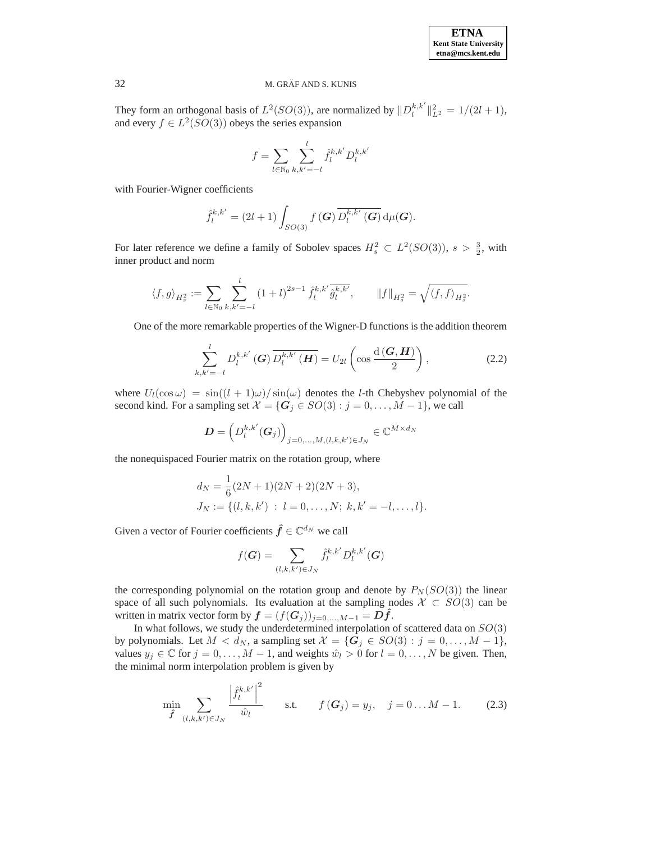They form an orthogonal basis of  $L^2(SO(3))$ , are normalized by  $||D_l^{k,k'}||_{L^2}^2 = 1/(2l+1)$ , and every  $f \in L^2(SO(3))$  obeys the series expansion

$$
f = \sum_{l \in \mathbb{N}_0} \sum_{k,k'= -l}^{l} \hat{f}_l^{k,k'} D_l^{k,k'}
$$

with Fourier-Wigner coefficients

$$
\hat{f}_l^{k,k'} = (2l+1) \int_{SO(3)} f\left(\boldsymbol{G}\right) \overline{D_l^{k,k'}\left(\boldsymbol{G}\right)} \, \mathrm{d}\mu(\boldsymbol{G}).
$$

For later reference we define a family of Sobolev spaces  $H_s^2 \,\subset L^2(SO(3))$ ,  $s > \frac{3}{2}$ , with inner product and norm

$$
\langle f, g \rangle_{H_s^2} := \sum_{l \in \mathbb{N}_0} \sum_{k, k' = -l}^l (1+l)^{2s-1} \hat{f}_l^{k, k'} \overline{\hat{g}_l^{k, k'}}, \qquad ||f||_{H_s^2} = \sqrt{\langle f, f \rangle_{H_s^2}}.
$$

<span id="page-2-1"></span>One of the more remarkable properties of the Wigner-D functions is the addition theorem

$$
\sum_{k,k'=-l}^{l} D_l^{k,k'}\left(\boldsymbol{G}\right) \overline{D_l^{k,k'}\left(\boldsymbol{H}\right)} = U_{2l} \left(\cos \frac{\mathrm{d}\left(\boldsymbol{G}, \boldsymbol{H}\right)}{2}\right),\tag{2.2}
$$

where  $U_l(\cos \omega) = \frac{\sin((l + 1)\omega)}{\sin(\omega)}$  denotes the *l*-th Chebyshev polynomial of the second kind. For a sampling set  $\mathcal{X} = \{G_j \in SO(3) : j = 0, \ldots, M - 1\}$ , we call

$$
\boldsymbol{D} = \left( D_l^{k,k'}(\boldsymbol{G}_j) \right)_{j=0,...,M,(l,k,k') \in J_N} \in \mathbb{C}^{M \times d_N}
$$

the nonequispaced Fourier matrix on the rotation group, where

$$
d_N = \frac{1}{6}(2N+1)(2N+2)(2N+3),
$$
  
\n
$$
J_N := \{(l, k, k') : l = 0, ..., N; k, k' = -l, ..., l\}.
$$

Given a vector of Fourier coefficients  $\hat{f} \in \mathbb{C}^{d_N}$  we call

$$
f(\mathbf{G}) = \sum_{(l,k,k') \in J_N} \hat{f}_l^{k,k'} D_l^{k,k'}(\mathbf{G})
$$

the corresponding polynomial on the rotation group and denote by  $P_N(SO(3))$  the linear space of all such polynomials. Its evaluation at the sampling nodes  $X \subset SO(3)$  can be written in matrix vector form by  $\mathbf{f} = (f(\mathbf{G}_j))_{j=0,\ldots,M-1} = \mathbf{D}\hat{\mathbf{f}}$ .

<span id="page-2-0"></span>In what follows, we study the underdetermined interpolation of scattered data on  $SO(3)$ by polynomials. Let  $M < d_N$ , a sampling set  $\mathcal{X} = \{G_j \in SO(3) : j = 0, \ldots, M - 1\}$ , values  $y_j \in \mathbb{C}$  for  $j = 0, ..., M - 1$ , and weights  $\hat{w}_l > 0$  for  $l = 0, ..., N$  be given. Then, the minimal norm interpolation problem is given by

$$
\min_{\hat{f}} \sum_{(l,k,k') \in J_N} \frac{\left| \hat{f}_l^{k,k'} \right|^2}{\hat{w}_l} \qquad \text{s.t.} \qquad f\left(\mathbf{G}_j\right) = y_j, \quad j = 0 \dots M - 1. \tag{2.3}
$$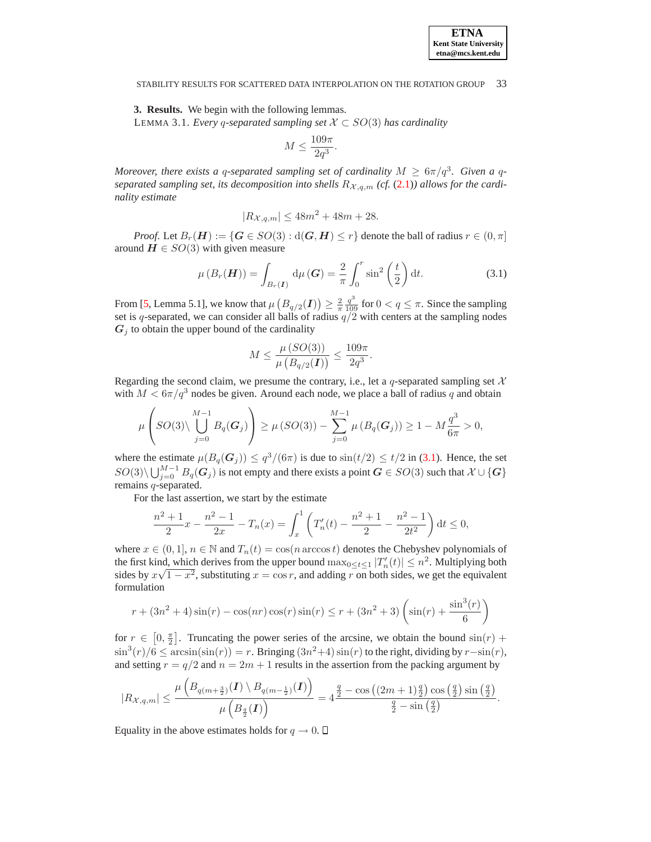<span id="page-3-1"></span>**3. Results.** We begin with the following lemmas. LEMMA 3.1. *Every* q*-separated sampling set* X ⊂ SO(3) *has cardinality*

$$
M \le \frac{109\pi}{2q^3}.
$$

*Moreover, there exists a q-separated sampling set of cardinality*  $M \geq 6\pi/q^3$ *. Given a q*separated sampling set, its decomposition into shells  $R_{\mathcal{X},q,m}$  (cf. [\(2.1\)](#page-1-0)) allows for the cardi*nality estimate*

$$
|R_{\mathcal{X},q,m}| \le 48m^2 + 48m + 28.
$$

<span id="page-3-0"></span>*Proof.* Let  $B_r(H) := \{ G \in SO(3) : d(G, H) \leq r \}$  denote the ball of radius  $r \in (0, \pi]$ around  $H \in SO(3)$  with given measure

$$
\mu\left(B_r(H)\right) = \int_{B_r(I)} \mathrm{d}\mu\left(G\right) = \frac{2}{\pi} \int_0^r \sin^2\left(\frac{t}{2}\right) \mathrm{d}t. \tag{3.1}
$$

From [\[5,](#page-8-8) Lemma 5.1], we know that  $\mu\left(B_{q/2}(\boldsymbol{I})\right) \geq \frac{2}{\pi} \frac{q^3}{109}$  for  $0 < q \leq \pi$ . Since the sampling set is q-separated, we can consider all balls of radius  $q/2$  with centers at the sampling nodes  $G_i$  to obtain the upper bound of the cardinality

$$
M \le \frac{\mu (SO(3))}{\mu (B_{q/2}(I))} \le \frac{109\pi}{2q^3}.
$$

Regarding the second claim, we presume the contrary, i.e., let a q-separated sampling set  $X$ with  $M < 6\pi/q^3$  nodes be given. Around each node, we place a ball of radius q and obtain

$$
\mu\left(SO(3)\setminus \bigcup_{j=0}^{M-1} B_q(G_j)\right) \geq \mu\left(SO(3)\right) - \sum_{j=0}^{M-1} \mu\left(B_q(G_j)\right) \geq 1 - M\frac{q^3}{6\pi} > 0,
$$

where the estimate  $\mu(B_q(G_j)) \leq q^3/(6\pi)$  is due to  $\sin(t/2) \leq t/2$  in [\(3.1\)](#page-3-0). Hence, the set  $SO(3)\setminus\bigcup_{j=0}^{M-1}B_q(G_j)$  is not empty and there exists a point  $G\in SO(3)$  such that  $\mathcal{X}\cup\{G\}$ remains q-separated.

For the last assertion, we start by the estimate

$$
\frac{n^2+1}{2}x - \frac{n^2-1}{2x} - T_n(x) = \int_x^1 \left( T'_n(t) - \frac{n^2+1}{2} - \frac{n^2-1}{2t^2} \right) dt \le 0,
$$

where  $x \in (0,1], n \in \mathbb{N}$  and  $T_n(t) = \cos(n \arccos t)$  denotes the Chebyshev polynomials of the first kind, which derives from the upper bound  $\max_{0 \le t \le 1} |T'_n(t)| \le n^2$ . Multiplying both sides by  $x\sqrt{1-x^2}$ , substituting  $x = \cos r$ , and adding r on both sides, we get the equivalent formulation

$$
r + (3n^2 + 4)\sin(r) - \cos(nr)\cos(r)\sin(r) \le r + (3n^2 + 3)\left(\sin(r) + \frac{\sin^3(r)}{6}\right)
$$

for  $r \in [0, \frac{\pi}{2}]$ . Truncating the power series of the arcsine, we obtain the bound  $sin(r)$  +  $\sin^3(r)/6$  ≤  $arcsin(\sin(r)) = r$ . Bringing  $(3n^2+4)\sin(r)$  to the right, dividing by  $r-\sin(r)$ , and setting  $r = q/2$  and  $n = 2m + 1$  results in the assertion from the packing argument by

$$
|R_{\mathcal{X},q,m}| \leq \frac{\mu\left(B_{q(m+\frac{3}{2})}(I)\setminus B_{q(m-\frac{1}{2})}(I)\right)}{\mu\left(B_{\frac{q}{2}}(I)\right)} = 4\frac{\frac{q}{2}-\cos\left((2m+1)\frac{q}{2}\right)\cos\left(\frac{q}{2}\right)\sin\left(\frac{q}{2}\right)}{\frac{q}{2}-\sin\left(\frac{q}{2}\right)}.
$$

Equality in the above estimates holds for  $q \to 0$ .  $\Box$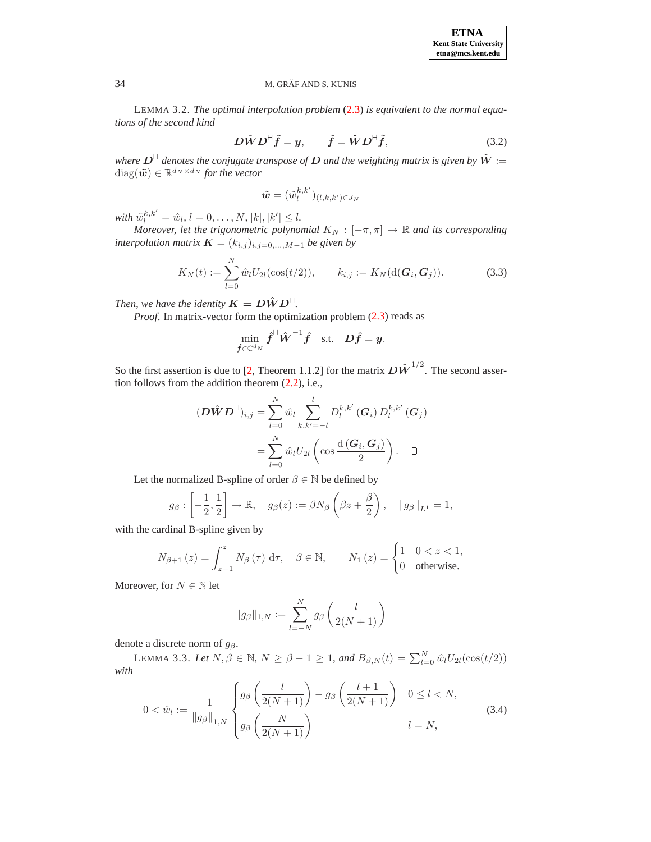<span id="page-4-3"></span>LEMMA 3.2. *The optimal interpolation problem* [\(2.3\)](#page-2-0) *is equivalent to the normal equations of the second kind*

$$
D\hat{W}D^{\dagger}\tilde{f} = y, \qquad \hat{f} = \hat{W}D^{\dagger}\tilde{f}, \qquad (3.2)
$$

*where*  $D^{\text{H}}$  *denotes the conjugate transpose of*  $D$  *and the weighting matrix is given by*  $\hat{W}$  :=  $\text{diag}(\tilde{\bm{w}}) \in \mathbb{R}^{d_N \times d_N}$  for the vector

$$
\tilde{\bm{w}}=(\tilde{w}_l^{k,k'})_{(l,k,k')\in J_N}
$$

*with*  $\tilde{w}_l^{k,k'} = \hat{w}_l, l = 0, \ldots, N, |k|, |k'| \leq l.$ 

<span id="page-4-1"></span>*Moreover, let the trigonometric polynomial*  $K_N$  :  $[-\pi, \pi] \rightarrow \mathbb{R}$  *and its corresponding interpolation matrix*  $\mathbf{K} = (k_{i,j})_{i,j=0,\dots,M-1}$  *be given by* 

$$
K_N(t) := \sum_{l=0}^{N} \hat{w}_l U_{2l}(\cos(t/2)), \qquad k_{i,j} := K_N(\mathrm{d}(\boldsymbol{G}_i, \boldsymbol{G}_j)).
$$
 (3.3)

*Then, we have the identity*  $K = D\hat{W}D^{\dagger}$ .

*Proof.* In matrix-vector form the optimization problem [\(2.3\)](#page-2-0) reads as

$$
\min_{\hat{\bm{f}}\in\mathbb{C}^{d_N}} {\hat{\bm{f}}}^{\mathsf{H}}\hat{\bm{W}}^{-1}\hat{\bm{f}} \quad \text{s.t.} \quad \bm{D}\hat{\bm{f}}=\bm{y}.
$$

So the first assertion is due to [\[2,](#page-8-12) Theorem 1.1.2] for the matrix  $D\hat{W}^{1/2}$ . The second assertion follows from the addition theorem [\(2.2\)](#page-2-1), i.e.,

$$
(\boldsymbol{D}\hat{\boldsymbol{W}}\boldsymbol{D}^{H})_{i,j} = \sum_{l=0}^{N} \hat{w}_l \sum_{k,k'= -l}^{l} D_l^{k,k'}(\boldsymbol{G}_i) \overline{D_l^{k,k'}(\boldsymbol{G}_j)}
$$

$$
= \sum_{l=0}^{N} \hat{w}_l U_{2l} \left( \cos \frac{d(\boldsymbol{G}_i, \boldsymbol{G}_j)}{2} \right). \quad \Box
$$

Let the normalized B-spline of order  $\beta \in \mathbb{N}$  be defined by

$$
g_{\beta}: \left[-\frac{1}{2}, \frac{1}{2}\right] \to \mathbb{R}, \quad g_{\beta}(z) := \beta N_{\beta} \left(\beta z + \frac{\beta}{2}\right), \quad ||g_{\beta}||_{L^{1}} = 1,
$$

with the cardinal B-spline given by

$$
N_{\beta+1}(z) = \int_{z-1}^{z} N_{\beta}(\tau) d\tau, \quad \beta \in \mathbb{N}, \qquad N_1(z) = \begin{cases} 1 & 0 < z < 1, \\ 0 & \text{otherwise.} \end{cases}
$$

Moreover, for  $N \in \mathbb{N}$  let

$$
||g_{\beta}||_{1,N} := \sum_{l=-N}^{N} g_{\beta} \left( \frac{l}{2(N+1)} \right)
$$

<span id="page-4-2"></span>denote a discrete norm of  $g_\beta$ .

<span id="page-4-0"></span>LEMMA 3.3. Let  $N, \beta \in \mathbb{N}$ ,  $N \ge \beta - 1 \ge 1$ , and  $B_{\beta, N}(t) = \sum_{l=0}^{N} \hat{w}_l U_{2l}(\cos(t/2))$ *with*

$$
0 < \hat{w}_l := \frac{1}{\|g_\beta\|_{1,N}} \begin{cases} g_\beta\left(\frac{l}{2(N+1)}\right) - g_\beta\left(\frac{l+1}{2(N+1)}\right) & 0 \le l < N, \\ g_\beta\left(\frac{N}{2(N+1)}\right) & l = N, \end{cases} \tag{3.4}
$$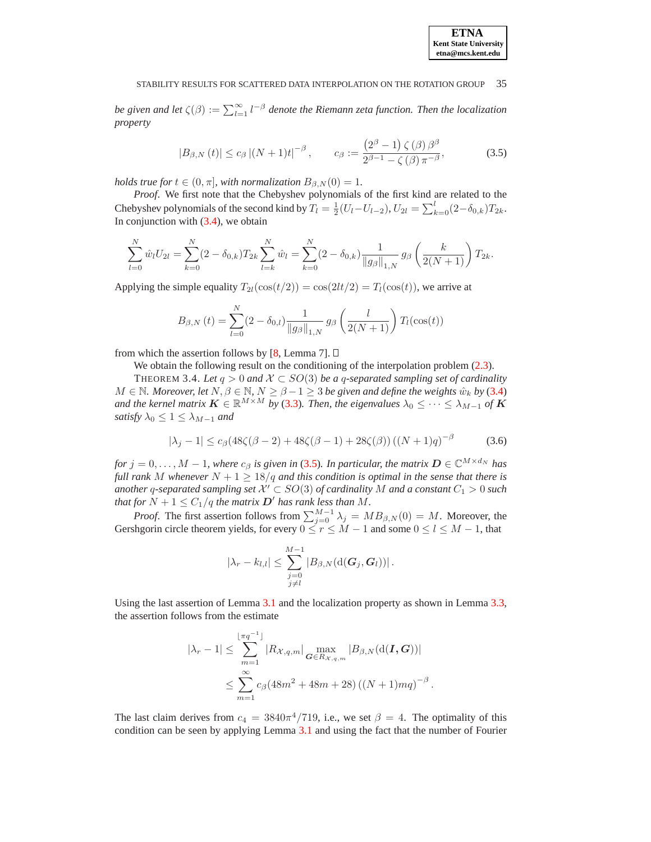<span id="page-5-1"></span>*be given and let*  $\zeta(\beta) := \sum_{l=1}^{\infty} l^{-\beta}$  *denote the Riemann zeta function. Then the localization property*

$$
|B_{\beta,N}(t)| \le c_{\beta} |(N+1)t|^{-\beta}, \qquad c_{\beta} := \frac{\left(2^{\beta}-1\right)\zeta(\beta)\beta^{\beta}}{2^{\beta-1}-\zeta(\beta)\pi^{-\beta}},
$$
(3.5)

*holds true for*  $t \in (0, \pi]$ *, with normalization*  $B_{\beta, N}(0) = 1$ *.* 

*Proof*. We first note that the Chebyshev polynomials of the first kind are related to the Chebyshev polynomials of the second kind by  $T_l = \frac{1}{2}(U_l - U_{l-2}), U_{2l} = \sum_{k=0}^{l} (2 - \delta_{0,k}) T_{2k}.$ In conjunction with  $(3.4)$ , we obtain

$$
\sum_{l=0}^{N} \hat{w}_l U_{2l} = \sum_{k=0}^{N} (2 - \delta_{0,k}) T_{2k} \sum_{l=k}^{N} \hat{w}_l = \sum_{k=0}^{N} (2 - \delta_{0,k}) \frac{1}{\|g_{\beta}\|_{1,N}} g_{\beta} \left(\frac{k}{2(N+1)}\right) T_{2k}.
$$

Applying the simple equality  $T_{2l}(\cos(t/2)) = \cos(2lt/2) = T_l(\cos(t))$ , we arrive at

$$
B_{\beta,N}(t) = \sum_{l=0}^{N} (2 - \delta_{0,l}) \frac{1}{\|g_{\beta}\|_{1,N}} g_{\beta} \left(\frac{l}{2(N+1)}\right) T_l(\cos(t))
$$

from which the assertion follows by [\[8,](#page-8-3) Lemma 7].  $\Box$ 

We obtain the following result on the conditioning of the interpolation problem  $(2.3)$ .

<span id="page-5-0"></span>THEOREM 3.4. Let  $q > 0$  and  $\mathcal{X} \subset SO(3)$  be a q-separated sampling set of cardinality  $M \in \mathbb{N}$ *. Moreover, let*  $N, \beta \in \mathbb{N}$ *,*  $N \geq \beta - 1 \geq 3$  *be given and define the weights*  $\hat{w}_k$  *by* [\(3.4\)](#page-4-0) *and the kernel matrix*  $\mathbf{K} \in \mathbb{R}^{M \times M}$  *by* [\(3.3\)](#page-4-1)*. Then, the eigenvalues*  $\lambda_0 \leq \cdots \leq \lambda_{M-1}$  *of*  $\mathbf{K}$ *satisfy*  $\lambda_0 \leq 1 \leq \lambda_{M-1}$  *and* 

$$
|\lambda_j - 1| \le c_\beta (48\zeta(\beta - 2) + 48\zeta(\beta - 1) + 28\zeta(\beta)) ((N + 1)q)^{-\beta}
$$
 (3.6)

<span id="page-5-2"></span>*for*  $j = 0, \ldots, M - 1$ , where  $c_{\beta}$  *is given in* [\(3.5\)](#page-5-1)*. In particular, the matrix*  $D \in \mathbb{C}^{M \times d_N}$  *has full rank M* whenever  $N + 1 \geq 18/q$  *and this condition is optimal in the sense that there is another* q-separated sampling set  $X' \subset SO(3)$  of cardinality M and a constant  $C_1 > 0$  such *that for*  $N + 1 \leq C_1/q$  *the matrix*  $D'$  *has rank less than*  $M$ *.* 

*Proof.* The first assertion follows from  $\sum_{j=0}^{M-1} \lambda_j = MB_{\beta,N}(0) = M$ . Moreover, the Gershgorin circle theorem yields, for every  $0 \le r \le M - 1$  and some  $0 \le l \le M - 1$ , that

$$
|\lambda_r - k_{l,l}| \leq \sum_{\substack{j=0 \ j \neq l}}^{M-1} |B_{\beta,N}(\mathrm{d}(\boldsymbol{G}_j,\boldsymbol{G}_l))|.
$$

Using the last assertion of Lemma [3.1](#page-3-1) and the localization property as shown in Lemma [3.3,](#page-4-2) the assertion follows from the estimate

$$
|\lambda_r - 1| \le \sum_{m=1}^{\lfloor \pi q^{-1} \rfloor} |R_{\mathcal{X},q,m}| \max_{\mathbf{G} \in R_{\mathcal{X},q,m}} |B_{\beta,N}(\mathbf{d}(\mathbf{I}, \mathbf{G}))|
$$
  

$$
\le \sum_{m=1}^{\infty} c_{\beta} (48m^2 + 48m + 28) ((N+1)mq)^{-\beta}
$$

.

The last claim derives from  $c_4 = 3840\pi^4/719$ , i.e., we set  $\beta = 4$ . The optimality of this condition can be seen by applying Lemma [3.1](#page-3-1) and using the fact that the number of Fourier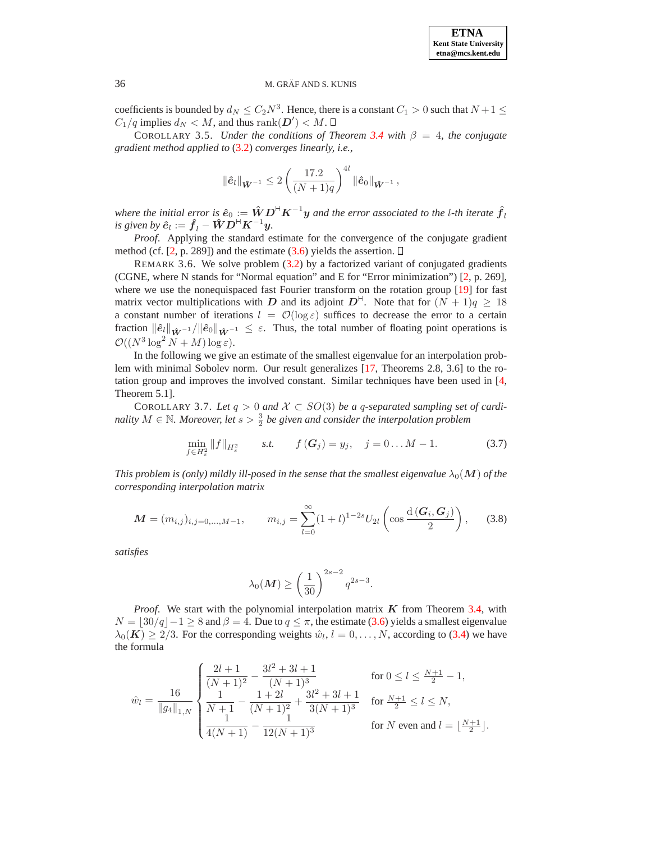coefficients is bounded by  $d_N \leq C_2 N^3$ . Hence, there is a constant  $C_1 > 0$  such that  $N + 1 \leq C_2 N^3$ .  $C_1/q$  implies  $d_N < M$ , and thus  $\text{rank}(\mathbf{D}') < M$ .

<span id="page-6-0"></span>COROLLARY 3.5. *Under the conditions of Theorem [3.4](#page-5-0) with*  $\beta = 4$ , the conjugate *gradient method applied to* [\(3.2\)](#page-4-3) *converges linearly, i.e.,*

$$
\|\hat{\mathbf{e}}_l\|_{\hat{\mathbf{W}}^{-1}} \leq 2 \left(\frac{17.2}{(N+1)q}\right)^{4l} \|\hat{\mathbf{e}}_0\|_{\hat{\mathbf{W}}^{-1}},
$$

*where the initial error is*  $\hat{\bm{e}}_0 := \hat{\bm{W}}\bm{D}^\textsf{H}\bm{K}^{-1}\bm{y}$  *and the error associated to the l-th iterate*  $\hat{\bm{f}}_l$ *is given by*  $\hat{\mathbf{e}}_l := \hat{\mathbf{f}}_l - \hat{\mathbf{W}} \mathbf{D}^{\mathsf{H}} \mathbf{K}^{-1} \mathbf{y}$ .

*Proof*. Applying the standard estimate for the convergence of the conjugate gradient method (cf.  $[2, p. 289]$  $[2, p. 289]$ ) and the estimate [\(3.6\)](#page-5-2) yields the assertion.  $\Box$ 

REMARK 3.6. We solve problem  $(3.2)$  by a factorized variant of conjugated gradients (CGNE, where N stands for "Normal equation" and E for "Error minimization") [\[2,](#page-8-12) p. 269], where we use the nonequispaced fast Fourier transform on the rotation group [\[19\]](#page-9-3) for fast matrix vector multiplications with D and its adjoint  $D^{\mathbb{H}}$ . Note that for  $(N+1)q \geq 18$ a constant number of iterations  $l = \mathcal{O}(\log \varepsilon)$  suffices to decrease the error to a certain fraction  $\|\hat{\mathbf{e}}_l\|_{\hat{\mathbf{W}}^{-1}} / \|\hat{\mathbf{e}}_0\|_{\hat{\mathbf{W}}^{-1}} \leq \varepsilon$ . Thus, the total number of floating point operations is  $\mathcal{O}((N^3 \log^2 N + M) \log \varepsilon).$ 

In the following we give an estimate of the smallest eigenvalue for an interpolation problem with minimal Sobolev norm. Our result generalizes [\[17,](#page-9-6) Theorems 2.8, 3.6] to the rotation group and improves the involved constant. Similar techniques have been used in [\[4,](#page-8-7) Theorem 5.1].

<span id="page-6-2"></span><span id="page-6-1"></span>COROLLARY 3.7. Let  $q > 0$  and  $\mathcal{X} \subset SO(3)$  be a q-separated sampling set of cardi*nality*  $M \in \mathbb{N}$ *. Moreover, let*  $s > \frac{3}{2}$  be given and consider the interpolation problem

$$
\min_{f \in H_s^2} ||f||_{H_s^2} \qquad s.t. \qquad f(G_j) = y_j, \quad j = 0...M - 1.
$$
 (3.7)

<span id="page-6-3"></span>*This problem is (only) mildly ill-posed in the sense that the smallest eigenvalue*  $\lambda_0(\mathbf{M})$  *of the corresponding interpolation matrix*

$$
\mathbf{M} = (m_{i,j})_{i,j=0,\dots,M-1}, \qquad m_{i,j} = \sum_{l=0}^{\infty} (1+l)^{1-2s} U_{2l} \left( \cos \frac{d(\mathbf{G}_i, \mathbf{G}_j)}{2} \right), \qquad (3.8)
$$

*satisfies*

$$
\lambda_0(\boldsymbol{M}) \ge \left(\frac{1}{30}\right)^{2s-2} q^{2s-3}.
$$

*Proof.* We start with the polynomial interpolation matrix  $K$  from Theorem [3.4,](#page-5-0) with  $N = |30/q| - 1 \ge 8$  and  $\beta = 4$ . Due to  $q \le \pi$ , the estimate [\(3.6\)](#page-5-2) yields a smallest eigenvalue  $\lambda_0(\mathbf{K}) \geq 2/3$ . For the corresponding weights  $\hat{w}_l$ ,  $l = 0, \dots, N$ , according to [\(3.4\)](#page-4-0) we have the formula

$$
\hat{w}_l = \frac{16}{\|g_4\|_{1,N}} \begin{cases} \frac{2l+1}{(N+1)^2} - \frac{3l^2 + 3l + 1}{(N+1)^3} & \text{for } 0 \le l \le \frac{N+1}{2} - 1, \\ \frac{1}{N+1} - \frac{1+2l}{(N+1)^2} + \frac{3l^2 + 3l + 1}{3(N+1)^3} & \text{for } \frac{N+1}{2} \le l \le N, \\ \frac{1}{4(N+1)} - \frac{1}{12(N+1)^3} & \text{for } N \text{ even and } l = \lfloor \frac{N+1}{2} \rfloor. \end{cases}
$$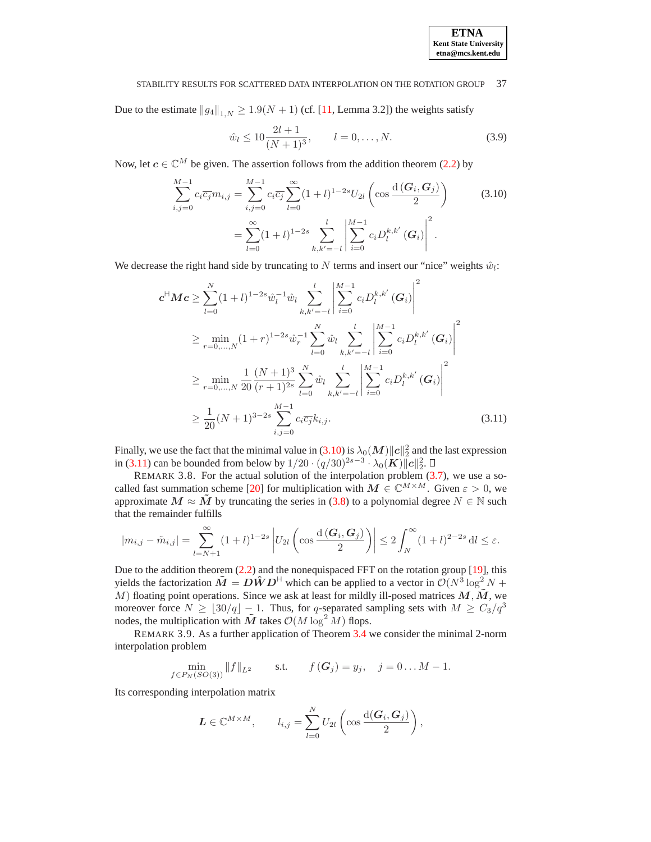

<span id="page-7-2"></span>Due to the estimate  $||g_4||_{1,N} \ge 1.9(N+1)$  (cf. [\[11,](#page-8-11) Lemma 3.2]) the weights satisfy

$$
\hat{w}_l \le 10 \frac{2l+1}{(N+1)^3}, \qquad l = 0, \dots, N. \tag{3.9}
$$

<span id="page-7-0"></span>Now, let  $c \in \mathbb{C}^M$  be given. The assertion follows from the addition theorem [\(2.2\)](#page-2-1) by

$$
\sum_{i,j=0}^{M-1} c_i \overline{c_j} m_{i,j} = \sum_{i,j=0}^{M-1} c_i \overline{c_j} \sum_{l=0}^{\infty} (1+l)^{1-2s} U_{2l} \left( \cos \frac{d(G_i, G_j)}{2} \right)
$$
\n
$$
= \sum_{l=0}^{\infty} (1+l)^{1-2s} \sum_{k,k'=-l}^{l} \left| \sum_{i=0}^{M-1} c_i D_l^{k,k'} (G_i) \right|^2.
$$
\n(3.10)

<span id="page-7-1"></span>We decrease the right hand side by truncating to N terms and insert our "nice" weights  $\hat{w}_l$ :

$$
\mathbf{c}^{H}\mathbf{M}\mathbf{c} \geq \sum_{l=0}^{N} (1+l)^{1-2s} \hat{w}_{l}^{-1} \hat{w}_{l} \sum_{k,k'= -l}^{l} \left| \sum_{i=0}^{M-1} c_{i} D_{l}^{k,k'}(\mathbf{G}_{i}) \right|^{2}
$$
\n
$$
\geq \min_{r=0,...,N} (1+r)^{1-2s} \hat{w}_{r}^{-1} \sum_{l=0}^{N} \hat{w}_{l} \sum_{k,k'= -l}^{l} \left| \sum_{i=0}^{M-1} c_{i} D_{l}^{k,k'}(\mathbf{G}_{i}) \right|^{2}
$$
\n
$$
\geq \min_{r=0,...,N} \frac{1}{20} \frac{(N+1)^{3}}{(r+1)^{2s}} \sum_{l=0}^{N} \hat{w}_{l} \sum_{k,k'= -l}^{l} \left| \sum_{i=0}^{M-1} c_{i} D_{l}^{k,k'}(\mathbf{G}_{i}) \right|^{2}
$$
\n
$$
\geq \frac{1}{20} (N+1)^{3-2s} \sum_{i,j=0}^{M-1} c_{i} \overline{c_{j}} k_{i,j}.
$$
\n(3.11)

Finally, we use the fact that the minimal value in [\(3.10\)](#page-7-0) is  $\lambda_0(M)\|c\|_2^2$  and the last expression in [\(3.11\)](#page-7-1) can be bounded from below by  $1/20 \cdot (q/30)^{2s-3} \cdot \lambda_0(K) ||c||_2^2$ .

REMARK 3.8. For the actual solution of the interpolation problem [\(3.7\)](#page-6-2), we use a so-called fast summation scheme [\[20\]](#page-9-13) for multiplication with  $M \in \mathbb{C}^{M \times M}$ . Given  $\varepsilon > 0$ , we approximate  $M \approx \tilde{M}$  by truncating the series in [\(3.8\)](#page-6-3) to a polynomial degree  $N \in \mathbb{N}$  such that the remainder fulfills

$$
|m_{i,j} - \tilde{m}_{i,j}| = \sum_{l=N+1}^{\infty} (1+l)^{1-2s} \left| U_{2l} \left( \cos \frac{d(G_i, G_j)}{2} \right) \right| \leq 2 \int_N^{\infty} (1+l)^{2-2s} dl \leq \varepsilon.
$$

Due to the addition theorem  $(2.2)$  and the nonequispaced FFT on the rotation group [\[19\]](#page-9-3), this yields the factorization  $\tilde{M} = D\hat{W}D^{\dagger}$  which can be applied to a vector in  $O(N^3 \log^2 N +$ M) floating point operations. Since we ask at least for mildly ill-posed matrices  $M,\tilde{M}$ , we moreover force  $N \geq \lfloor 30/q \rfloor - 1$ . Thus, for q-separated sampling sets with  $M \geq C_3/q^3$ nodes, the multiplication with  $\tilde{M}$  takes  $\mathcal{O}(M \log^2 M)$  flops.

REMARK 3.9. As a further application of Theorem [3.4](#page-5-0) we consider the minimal 2-norm interpolation problem

$$
\min_{f \in P_N(SO(3))} ||f||_{L^2} \quad \text{s.t.} \quad f(\mathbf{G}_j) = y_j, \quad j = 0 \dots M - 1.
$$

Its corresponding interpolation matrix

$$
\mathbf{L} \in \mathbb{C}^{M \times M}, \qquad l_{i,j} = \sum_{l=0}^{N} U_{2l} \left( \cos \frac{d(\mathbf{G}_i, \mathbf{G}_j)}{2} \right),
$$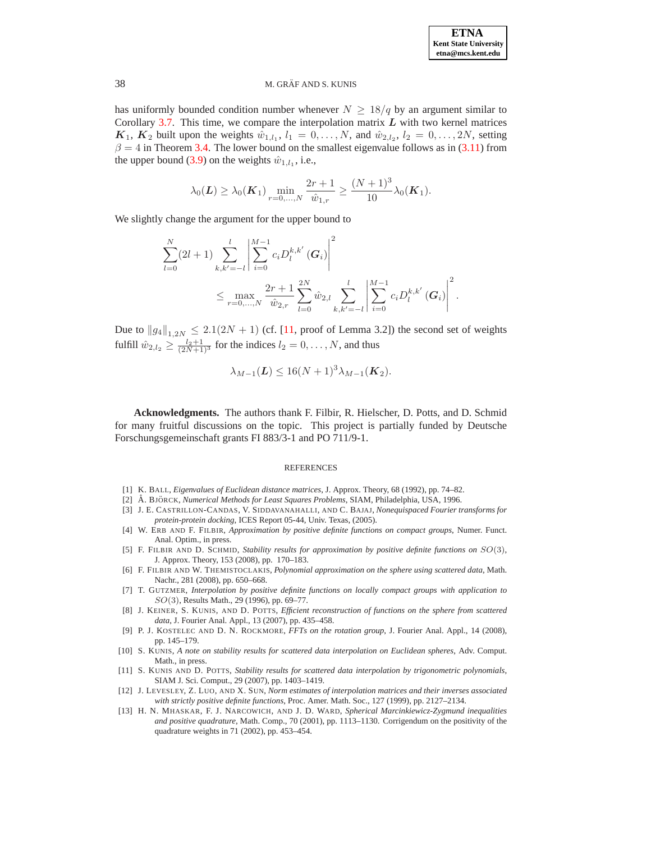has uniformly bounded condition number whenever  $N \geq 18/q$  by an argument similar to Corollary [3.7.](#page-6-1) This time, we compare the interpolation matrix  $L$  with two kernel matrices  $K_1, K_2$  built upon the weights  $\hat{w}_{1,l_1}, l_1 = 0, \ldots, N$ , and  $\hat{w}_{2,l_2}, l_2 = 0, \ldots, 2N$ , setting  $\beta = 4$  in Theorem [3.4.](#page-5-0) The lower bound on the smallest eigenvalue follows as in [\(3.11\)](#page-7-1) from the upper bound [\(3.9\)](#page-7-2) on the weights  $\hat{w}_{1,l_1}$ , i.e.,

$$
\lambda_0(\mathbf{L}) \geq \lambda_0(\mathbf{K}_1) \min_{r=0,\dots,N} \frac{2r+1}{\hat{w}_{1,r}} \geq \frac{(N+1)^3}{10} \lambda_0(\mathbf{K}_1).
$$

We slightly change the argument for the upper bound to

$$
\sum_{l=0}^{N} (2l+1) \sum_{k,k'= -l}^{l} \left| \sum_{i=0}^{M-1} c_i D_l^{k,k'}(\boldsymbol{G}_i) \right|^2
$$
  

$$
\leq \max_{r=0,...,N} \frac{2r+1}{\hat{w}_{2,r}} \sum_{l=0}^{2N} \hat{w}_{2,l} \sum_{k,k'= -l}^{l} \left| \sum_{i=0}^{M-1} c_i D_l^{k,k'}(\boldsymbol{G}_i) \right|^2.
$$

Due to  $||g_4||_{1,2N} \le 2.1(2N + 1)$  (cf. [\[11,](#page-8-11) proof of Lemma 3.2]) the second set of weights fulfill  $\hat{w}_{2,l_2} \ge \frac{l_2+1}{(2N+1)^3}$  for the indices  $l_2 = 0, \dots, N$ , and thus

$$
\lambda_{M-1}(\mathbf{L}) \leq 16(N+1)^3 \lambda_{M-1}(\mathbf{K}_2).
$$

**Acknowledgments.** The authors thank F. Filbir, R. Hielscher, D. Potts, and D. Schmid for many fruitful discussions on the topic. This project is partially funded by Deutsche Forschungsgemeinschaft grants FI 883/3-1 and PO 711/9-1.

### REFERENCES

- <span id="page-8-12"></span><span id="page-8-10"></span>[1] K. BALL, *Eigenvalues of Euclidean distance matrices*, J. Approx. Theory, 68 (1992), pp. 74–82.
- [2] Å. BJÖRCK, *Numerical Methods for Least Squares Problems*, SIAM, Philadelphia, USA, 1996.
- <span id="page-8-7"></span><span id="page-8-0"></span>[3] J. E. CASTRILLON-CANDAS, V. SIDDAVANAHALLI, AND C. BAJAJ, *Nonequispaced Fourier transforms for protein-protein docking*, ICES Report 05-44, Univ. Texas, (2005).
- [4] W. ERB AND F. FILBIR, *Approximation by positive definite functions on compact groups*, Numer. Funct. Anal. Optim., in press.
- <span id="page-8-8"></span>[5] F. FILBIR AND D. SCHMID, *Stability results for approximation by positive definite functions on* SO(3), J. Approx. Theory, 153 (2008), pp. 170–183.
- <span id="page-8-2"></span>[6] F. FILBIR AND W. THEMISTOCLAKIS, *Polynomial approximation on the sphere using scattered data*, Math. Nachr., 281 (2008), pp. 650–668.
- <span id="page-8-9"></span>[7] T. GUTZMER, *Interpolation by positive definite functions on locally compact groups with application to* SO(3), Results Math., 29 (1996), pp. 69–77.
- <span id="page-8-3"></span>[8] J. KEINER, S. KUNIS, AND D. POTTS, *Efficient reconstruction of functions on the sphere from scattered data*, J. Fourier Anal. Appl., 13 (2007), pp. 435–458.
- <span id="page-8-1"></span>[9] P. J. KOSTELEC AND D. N. ROCKMORE, *FFTs on the rotation group*, J. Fourier Anal. Appl., 14 (2008), pp. 145–179.
- <span id="page-8-5"></span>[10] S. KUNIS, *A note on stability results for scattered data interpolation on Euclidean spheres*, Adv. Comput. Math., in press.
- <span id="page-8-11"></span>[11] S. KUNIS AND D. POTTS, *Stability results for scattered data interpolation by trigonometric polynomials*, SIAM J. Sci. Comput., 29 (2007), pp. 1403–1419.
- <span id="page-8-6"></span>[12] J. LEVESLEY, Z. LUO, AND X. SUN, *Norm estimates of interpolation matrices and their inverses associated with strictly positive definite functions*, Proc. Amer. Math. Soc., 127 (1999), pp. 2127–2134.
- <span id="page-8-4"></span>[13] H. N. MHASKAR, F. J. NARCOWICH, AND J. D. WARD, *Spherical Marcinkiewicz-Zygmund inequalities and positive quadrature*, Math. Comp., 70 (2001), pp. 1113–1130. Corrigendum on the positivity of the quadrature weights in 71 (2002), pp. 453–454.